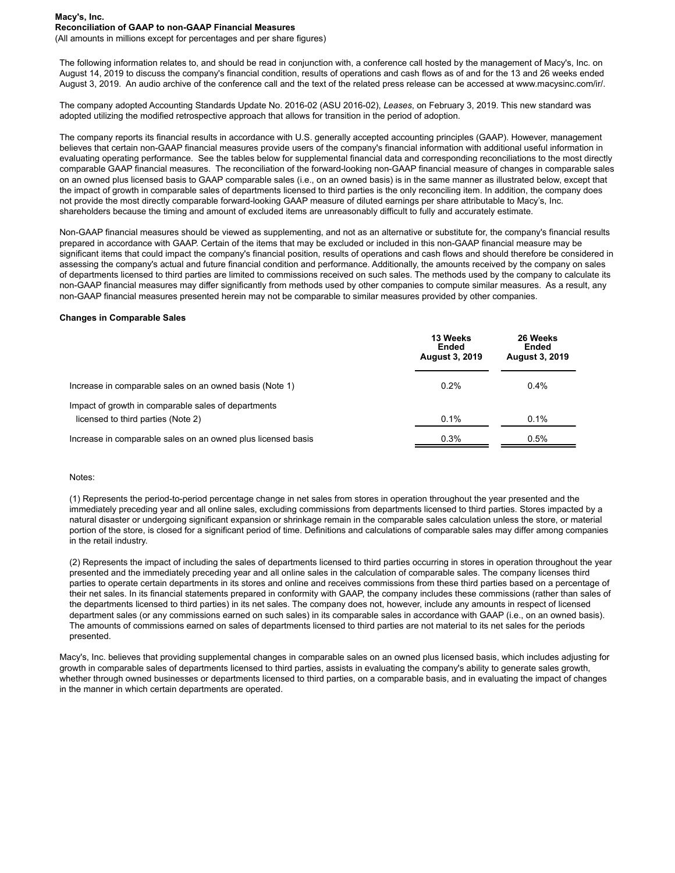#### **Macy's, Inc. Reconciliation of GAAP to non-GAAP Financial Measures**

(All amounts in millions except for percentages and per share figures)

The following information relates to, and should be read in conjunction with, a conference call hosted by the management of Macy's, Inc. on August 14, 2019 to discuss the company's financial condition, results of operations and cash flows as of and for the 13 and 26 weeks ended August 3, 2019. An audio archive of the conference call and the text of the related press release can be accessed at www.macysinc.com/ir/.

The company adopted Accounting Standards Update No. 2016-02 (ASU 2016-02), *Leases*, on February 3, 2019. This new standard was adopted utilizing the modified retrospective approach that allows for transition in the period of adoption.

The company reports its financial results in accordance with U.S. generally accepted accounting principles (GAAP). However, management believes that certain non-GAAP financial measures provide users of the company's financial information with additional useful information in evaluating operating performance. See the tables below for supplemental financial data and corresponding reconciliations to the most directly comparable GAAP financial measures. The reconciliation of the forward-looking non-GAAP financial measure of changes in comparable sales on an owned plus licensed basis to GAAP comparable sales (i.e., on an owned basis) is in the same manner as illustrated below, except that the impact of growth in comparable sales of departments licensed to third parties is the only reconciling item. In addition, the company does not provide the most directly comparable forward-looking GAAP measure of diluted earnings per share attributable to Macy's, Inc. shareholders because the timing and amount of excluded items are unreasonably difficult to fully and accurately estimate.

Non-GAAP financial measures should be viewed as supplementing, and not as an alternative or substitute for, the company's financial results prepared in accordance with GAAP. Certain of the items that may be excluded or included in this non-GAAP financial measure may be significant items that could impact the company's financial position, results of operations and cash flows and should therefore be considered in assessing the company's actual and future financial condition and performance. Additionally, the amounts received by the company on sales of departments licensed to third parties are limited to commissions received on such sales. The methods used by the company to calculate its non-GAAP financial measures may differ significantly from methods used by other companies to compute similar measures. As a result, any non-GAAP financial measures presented herein may not be comparable to similar measures provided by other companies.

#### **Changes in Comparable Sales**

|                                                              | 13 Weeks<br>Ended<br><b>August 3, 2019</b> | 26 Weeks<br>Ended<br><b>August 3, 2019</b> |  |  |
|--------------------------------------------------------------|--------------------------------------------|--------------------------------------------|--|--|
| Increase in comparable sales on an owned basis (Note 1)      | 0.2%                                       | $0.4\%$                                    |  |  |
| Impact of growth in comparable sales of departments          |                                            |                                            |  |  |
| licensed to third parties (Note 2)                           | 0.1%                                       | 0.1%                                       |  |  |
| Increase in comparable sales on an owned plus licensed basis | 0.3%                                       | 0.5%                                       |  |  |

#### Notes:

(1) Represents the period-to-period percentage change in net sales from stores in operation throughout the year presented and the immediately preceding year and all online sales, excluding commissions from departments licensed to third parties. Stores impacted by a natural disaster or undergoing significant expansion or shrinkage remain in the comparable sales calculation unless the store, or material portion of the store, is closed for a significant period of time. Definitions and calculations of comparable sales may differ among companies in the retail industry.

(2) Represents the impact of including the sales of departments licensed to third parties occurring in stores in operation throughout the year presented and the immediately preceding year and all online sales in the calculation of comparable sales. The company licenses third parties to operate certain departments in its stores and online and receives commissions from these third parties based on a percentage of their net sales. In its financial statements prepared in conformity with GAAP, the company includes these commissions (rather than sales of the departments licensed to third parties) in its net sales. The company does not, however, include any amounts in respect of licensed department sales (or any commissions earned on such sales) in its comparable sales in accordance with GAAP (i.e., on an owned basis). The amounts of commissions earned on sales of departments licensed to third parties are not material to its net sales for the periods presented.

Macy's, Inc. believes that providing supplemental changes in comparable sales on an owned plus licensed basis, which includes adjusting for growth in comparable sales of departments licensed to third parties, assists in evaluating the company's ability to generate sales growth, whether through owned businesses or departments licensed to third parties, on a comparable basis, and in evaluating the impact of changes in the manner in which certain departments are operated.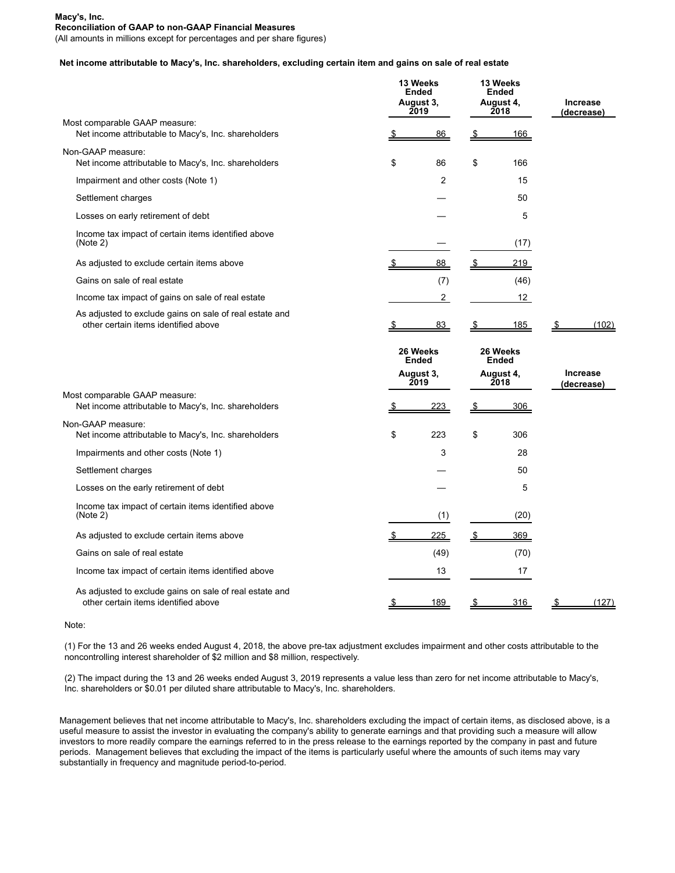### **Macy's, Inc. Reconciliation of GAAP to non-GAAP Financial Measures**

(All amounts in millions except for percentages and per share figures)

## **Net income attributable to Macy's, Inc. shareholders, excluding certain item and gains on sale of real estate**

|                                                                                                 | 13 Weeks<br><b>Ended</b><br>August 3,<br>2019 |      | 13 Weeks<br><b>Ended</b><br>August 4,<br>2018 |      | <b>Increase</b><br>(decrease) |  |
|-------------------------------------------------------------------------------------------------|-----------------------------------------------|------|-----------------------------------------------|------|-------------------------------|--|
| Most comparable GAAP measure:<br>Net income attributable to Macy's, Inc. shareholders           |                                               | 86   | \$                                            | 166  |                               |  |
| Non-GAAP measure:<br>Net income attributable to Macy's, Inc. shareholders                       | \$                                            | 86   | \$                                            | 166  |                               |  |
| Impairment and other costs (Note 1)                                                             |                                               | 2    |                                               | 15   |                               |  |
| Settlement charges                                                                              |                                               |      |                                               | 50   |                               |  |
| Losses on early retirement of debt                                                              |                                               |      |                                               | 5    |                               |  |
| Income tax impact of certain items identified above<br>(Note 2)                                 |                                               |      |                                               | (17) |                               |  |
| As adjusted to exclude certain items above                                                      |                                               | 88   |                                               | 219  |                               |  |
| Gains on sale of real estate                                                                    |                                               | (7)  |                                               | (46) |                               |  |
| Income tax impact of gains on sale of real estate                                               |                                               | 2    |                                               | 12   |                               |  |
| As adjusted to exclude gains on sale of real estate and<br>other certain items identified above |                                               | 83   |                                               | 185  | (102)                         |  |
|                                                                                                 | 26 Weeks<br><b>Ended</b>                      |      | 26 Weeks<br><b>Ended</b><br>August 4,<br>2018 |      |                               |  |
| August 3,<br>2019                                                                               |                                               |      |                                               |      | <b>Increase</b><br>(decrease) |  |
| Most comparable GAAP measure:<br>Net income attributable to Macy's, Inc. shareholders           |                                               | 223  | <u>\$</u>                                     | 306  |                               |  |
| Non-GAAP measure:<br>Net income attributable to Macy's, Inc. shareholders                       | \$                                            | 223  | \$                                            | 306  |                               |  |
| Impairments and other costs (Note 1)                                                            |                                               | 3    |                                               | 28   |                               |  |
| Settlement charges                                                                              |                                               |      |                                               | 50   |                               |  |
| Losses on the early retirement of debt                                                          |                                               |      |                                               | 5    |                               |  |
| Income tax impact of certain items identified above<br>(Note 2)                                 |                                               | (1)  |                                               | (20) |                               |  |
| As adjusted to exclude certain items above                                                      |                                               | 225  |                                               | 369  |                               |  |
| Gains on sale of real estate                                                                    |                                               | (49) |                                               | (70) |                               |  |
| Income tax impact of certain items identified above                                             |                                               | 13   |                                               | 17   |                               |  |
| As adjusted to exclude gains on sale of real estate and<br>other certain items identified above |                                               | 189  |                                               | 316  | (127)                         |  |

### Note:

(1) For the 13 and 26 weeks ended August 4, 2018, the above pre-tax adjustment excludes impairment and other costs attributable to the noncontrolling interest shareholder of \$2 million and \$8 million, respectively.

(2) The impact during the 13 and 26 weeks ended August 3, 2019 represents a value less than zero for net income attributable to Macy's, Inc. shareholders or \$0.01 per diluted share attributable to Macy's, Inc. shareholders.

Management believes that net income attributable to Macy's, Inc. shareholders excluding the impact of certain items, as disclosed above, is a useful measure to assist the investor in evaluating the company's ability to generate earnings and that providing such a measure will allow investors to more readily compare the earnings referred to in the press release to the earnings reported by the company in past and future periods. Management believes that excluding the impact of the items is particularly useful where the amounts of such items may vary substantially in frequency and magnitude period-to-period.